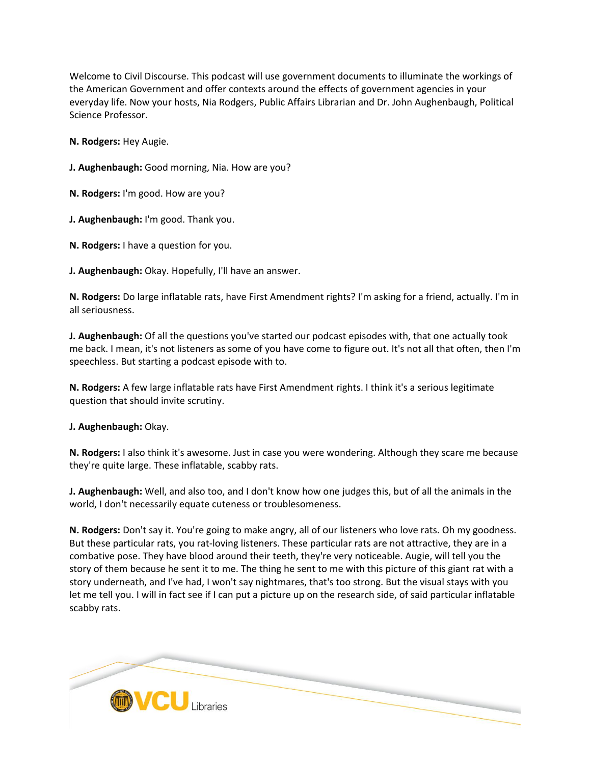Welcome to Civil Discourse. This podcast will use government documents to illuminate the workings of the American Government and offer contexts around the effects of government agencies in your everyday life. Now your hosts, Nia Rodgers, Public Affairs Librarian and Dr. John Aughenbaugh, Political Science Professor.

**N. Rodgers:** Hey Augie.

**J. Aughenbaugh:** Good morning, Nia. How are you?

**N. Rodgers:** I'm good. How are you?

**J. Aughenbaugh:** I'm good. Thank you.

**N. Rodgers:** I have a question for you.

**J. Aughenbaugh:** Okay. Hopefully, I'll have an answer.

**N. Rodgers:** Do large inflatable rats, have First Amendment rights? I'm asking for a friend, actually. I'm in all seriousness.

**J. Aughenbaugh:** Of all the questions you've started our podcast episodes with, that one actually took me back. I mean, it's not listeners as some of you have come to figure out. It's not all that often, then I'm speechless. But starting a podcast episode with to.

**N. Rodgers:** A few large inflatable rats have First Amendment rights. I think it's a serious legitimate question that should invite scrutiny.

**J. Aughenbaugh:** Okay.

**N. Rodgers:** I also think it's awesome. Just in case you were wondering. Although they scare me because they're quite large. These inflatable, scabby rats.

**J. Aughenbaugh:** Well, and also too, and I don't know how one judges this, but of all the animals in the world, I don't necessarily equate cuteness or troublesomeness.

**N. Rodgers:** Don't say it. You're going to make angry, all of our listeners who love rats. Oh my goodness. But these particular rats, you rat-loving listeners. These particular rats are not attractive, they are in a combative pose. They have blood around their teeth, they're very noticeable. Augie, will tell you the story of them because he sent it to me. The thing he sent to me with this picture of this giant rat with a story underneath, and I've had, I won't say nightmares, that's too strong. But the visual stays with you let me tell you. I will in fact see if I can put a picture up on the research side, of said particular inflatable scabby rats.

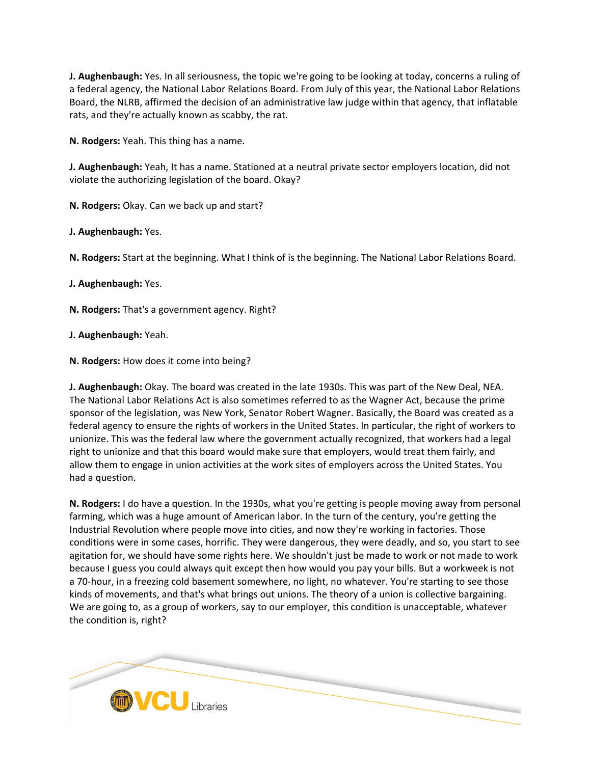**J. Aughenbaugh:** Yes. In all seriousness, the topic we're going to be looking at today, concerns a ruling of a federal agency, the National Labor Relations Board. From July of this year, the National Labor Relations Board, the NLRB, affirmed the decision of an administrative law judge within that agency, that inflatable rats, and they're actually known as scabby, the rat.

**N. Rodgers:** Yeah. This thing has a name.

**J. Aughenbaugh:** Yeah, It has a name. Stationed at a neutral private sector employers location, did not violate the authorizing legislation of the board. Okay?

**N. Rodgers:** Okay. Can we back up and start?

**J. Aughenbaugh:** Yes.

**N. Rodgers:** Start at the beginning. What I think of is the beginning. The National Labor Relations Board.

**J. Aughenbaugh:** Yes.

**N. Rodgers:** That's a government agency. Right?

**J. Aughenbaugh:** Yeah.

**N. Rodgers:** How does it come into being?

**J. Aughenbaugh:** Okay. The board was created in the late 1930s. This was part of the New Deal, NEA. The National Labor Relations Act is also sometimes referred to as the Wagner Act, because the prime sponsor of the legislation, was New York, Senator Robert Wagner. Basically, the Board was created as a federal agency to ensure the rights of workers in the United States. In particular, the right of workers to unionize. This was the federal law where the government actually recognized, that workers had a legal right to unionize and that this board would make sure that employers, would treat them fairly, and allow them to engage in union activities at the work sites of employers across the United States. You had a question.

**N. Rodgers:** I do have a question. In the 1930s, what you're getting is people moving away from personal farming, which was a huge amount of American labor. In the turn of the century, you're getting the Industrial Revolution where people move into cities, and now they're working in factories. Those conditions were in some cases, horrific. They were dangerous, they were deadly, and so, you start to see agitation for, we should have some rights here. We shouldn't just be made to work or not made to work because I guess you could always quit except then how would you pay your bills. But a workweek is not a 70-hour, in a freezing cold basement somewhere, no light, no whatever. You're starting to see those kinds of movements, and that's what brings out unions. The theory of a union is collective bargaining. We are going to, as a group of workers, say to our employer, this condition is unacceptable, whatever the condition is, right?

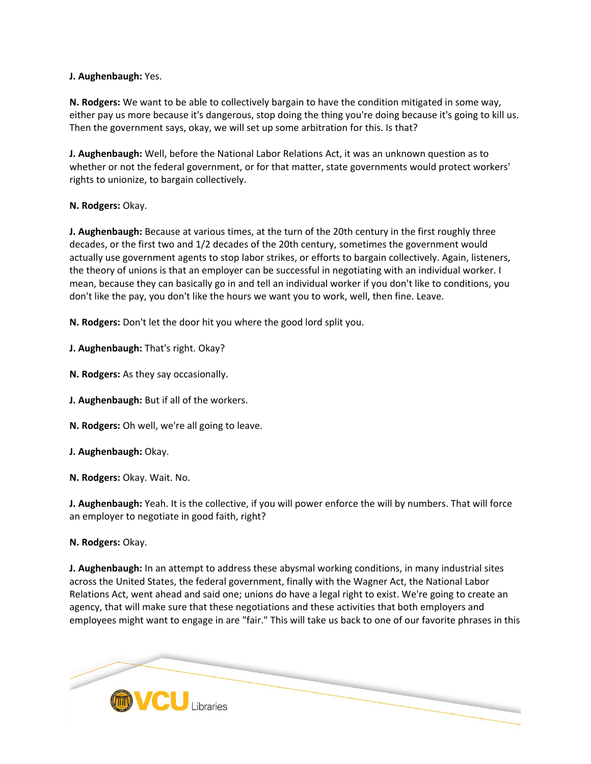# **J. Aughenbaugh:** Yes.

**N. Rodgers:** We want to be able to collectively bargain to have the condition mitigated in some way, either pay us more because it's dangerous, stop doing the thing you're doing because it's going to kill us. Then the government says, okay, we will set up some arbitration for this. Is that?

**J. Aughenbaugh:** Well, before the National Labor Relations Act, it was an unknown question as to whether or not the federal government, or for that matter, state governments would protect workers' rights to unionize, to bargain collectively.

# **N. Rodgers:** Okay.

**J. Aughenbaugh:** Because at various times, at the turn of the 20th century in the first roughly three decades, or the first two and 1/2 decades of the 20th century, sometimes the government would actually use government agents to stop labor strikes, or efforts to bargain collectively. Again, listeners, the theory of unions is that an employer can be successful in negotiating with an individual worker. I mean, because they can basically go in and tell an individual worker if you don't like to conditions, you don't like the pay, you don't like the hours we want you to work, well, then fine. Leave.

**N. Rodgers:** Don't let the door hit you where the good lord split you.

**J. Aughenbaugh:** That's right. Okay?

- **N. Rodgers:** As they say occasionally.
- **J. Aughenbaugh:** But if all of the workers.
- **N. Rodgers:** Oh well, we're all going to leave.
- **J. Aughenbaugh:** Okay.

**N. Rodgers:** Okay. Wait. No.

**J. Aughenbaugh:** Yeah. It is the collective, if you will power enforce the will by numbers. That will force an employer to negotiate in good faith, right?

## **N. Rodgers:** Okay.

**J. Aughenbaugh:** In an attempt to address these abysmal working conditions, in many industrial sites across the United States, the federal government, finally with the Wagner Act, the National Labor Relations Act, went ahead and said one; unions do have a legal right to exist. We're going to create an agency, that will make sure that these negotiations and these activities that both employers and employees might want to engage in are "fair." This will take us back to one of our favorite phrases in this

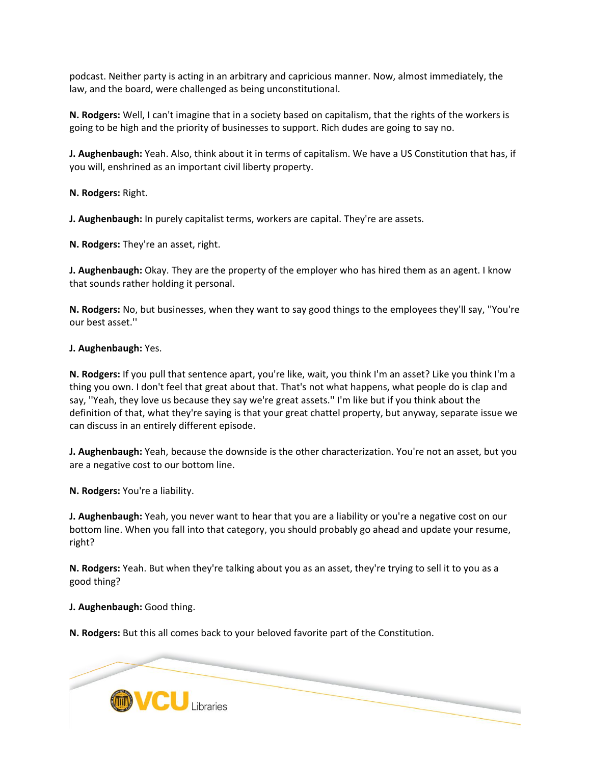podcast. Neither party is acting in an arbitrary and capricious manner. Now, almost immediately, the law, and the board, were challenged as being unconstitutional.

**N. Rodgers:** Well, I can't imagine that in a society based on capitalism, that the rights of the workers is going to be high and the priority of businesses to support. Rich dudes are going to say no.

**J. Aughenbaugh:** Yeah. Also, think about it in terms of capitalism. We have a US Constitution that has, if you will, enshrined as an important civil liberty property.

**N. Rodgers:** Right.

**J. Aughenbaugh:** In purely capitalist terms, workers are capital. They're are assets.

**N. Rodgers:** They're an asset, right.

**J. Aughenbaugh:** Okay. They are the property of the employer who has hired them as an agent. I know that sounds rather holding it personal.

**N. Rodgers:** No, but businesses, when they want to say good things to the employees they'll say, ''You're our best asset.''

# **J. Aughenbaugh:** Yes.

**N. Rodgers:** If you pull that sentence apart, you're like, wait, you think I'm an asset? Like you think I'm a thing you own. I don't feel that great about that. That's not what happens, what people do is clap and say, ''Yeah, they love us because they say we're great assets.'' I'm like but if you think about the definition of that, what they're saying is that your great chattel property, but anyway, separate issue we can discuss in an entirely different episode.

**J. Aughenbaugh:** Yeah, because the downside is the other characterization. You're not an asset, but you are a negative cost to our bottom line.

**N. Rodgers:** You're a liability.

**J. Aughenbaugh:** Yeah, you never want to hear that you are a liability or you're a negative cost on our bottom line. When you fall into that category, you should probably go ahead and update your resume, right?

**N. Rodgers:** Yeah. But when they're talking about you as an asset, they're trying to sell it to you as a good thing?

# **J. Aughenbaugh:** Good thing.

**N. Rodgers:** But this all comes back to your beloved favorite part of the Constitution.

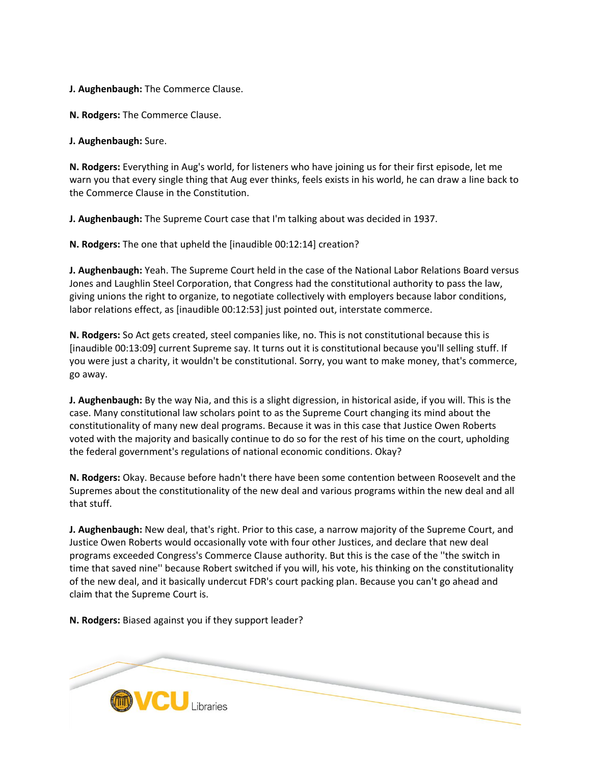**J. Aughenbaugh:** The Commerce Clause.

**N. Rodgers:** The Commerce Clause.

**J. Aughenbaugh:** Sure.

**N. Rodgers:** Everything in Aug's world, for listeners who have joining us for their first episode, let me warn you that every single thing that Aug ever thinks, feels exists in his world, he can draw a line back to the Commerce Clause in the Constitution.

**J. Aughenbaugh:** The Supreme Court case that I'm talking about was decided in 1937.

**N. Rodgers:** The one that upheld the [inaudible 00:12:14] creation?

**J. Aughenbaugh:** Yeah. The Supreme Court held in the case of the National Labor Relations Board versus Jones and Laughlin Steel Corporation, that Congress had the constitutional authority to pass the law, giving unions the right to organize, to negotiate collectively with employers because labor conditions, labor relations effect, as [inaudible 00:12:53] just pointed out, interstate commerce.

**N. Rodgers:** So Act gets created, steel companies like, no. This is not constitutional because this is [inaudible 00:13:09] current Supreme say. It turns out it is constitutional because you'll selling stuff. If you were just a charity, it wouldn't be constitutional. Sorry, you want to make money, that's commerce, go away.

**J. Aughenbaugh:** By the way Nia, and this is a slight digression, in historical aside, if you will. This is the case. Many constitutional law scholars point to as the Supreme Court changing its mind about the constitutionality of many new deal programs. Because it was in this case that Justice Owen Roberts voted with the majority and basically continue to do so for the rest of his time on the court, upholding the federal government's regulations of national economic conditions. Okay?

**N. Rodgers:** Okay. Because before hadn't there have been some contention between Roosevelt and the Supremes about the constitutionality of the new deal and various programs within the new deal and all that stuff.

**J. Aughenbaugh:** New deal, that's right. Prior to this case, a narrow majority of the Supreme Court, and Justice Owen Roberts would occasionally vote with four other Justices, and declare that new deal programs exceeded Congress's Commerce Clause authority. But this is the case of the ''the switch in time that saved nine'' because Robert switched if you will, his vote, his thinking on the constitutionality of the new deal, and it basically undercut FDR's court packing plan. Because you can't go ahead and claim that the Supreme Court is.

**N. Rodgers:** Biased against you if they support leader?

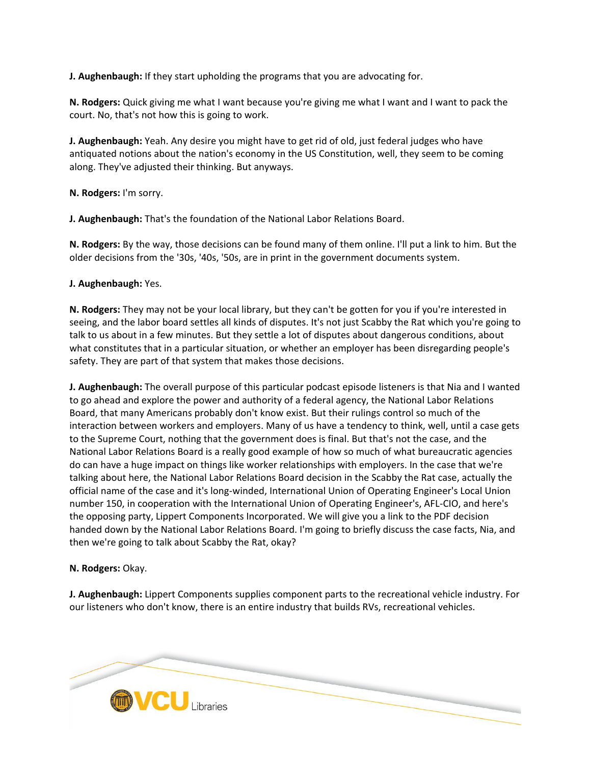**J. Aughenbaugh:** If they start upholding the programs that you are advocating for.

**N. Rodgers:** Quick giving me what I want because you're giving me what I want and I want to pack the court. No, that's not how this is going to work.

**J. Aughenbaugh:** Yeah. Any desire you might have to get rid of old, just federal judges who have antiquated notions about the nation's economy in the US Constitution, well, they seem to be coming along. They've adjusted their thinking. But anyways.

**N. Rodgers:** I'm sorry.

**J. Aughenbaugh:** That's the foundation of the National Labor Relations Board.

**N. Rodgers:** By the way, those decisions can be found many of them online. I'll put a link to him. But the older decisions from the '30s, '40s, '50s, are in print in the government documents system.

# **J. Aughenbaugh:** Yes.

**N. Rodgers:** They may not be your local library, but they can't be gotten for you if you're interested in seeing, and the labor board settles all kinds of disputes. It's not just Scabby the Rat which you're going to talk to us about in a few minutes. But they settle a lot of disputes about dangerous conditions, about what constitutes that in a particular situation, or whether an employer has been disregarding people's safety. They are part of that system that makes those decisions.

**J. Aughenbaugh:** The overall purpose of this particular podcast episode listeners is that Nia and I wanted to go ahead and explore the power and authority of a federal agency, the National Labor Relations Board, that many Americans probably don't know exist. But their rulings control so much of the interaction between workers and employers. Many of us have a tendency to think, well, until a case gets to the Supreme Court, nothing that the government does is final. But that's not the case, and the National Labor Relations Board is a really good example of how so much of what bureaucratic agencies do can have a huge impact on things like worker relationships with employers. In the case that we're talking about here, the National Labor Relations Board decision in the Scabby the Rat case, actually the official name of the case and it's long-winded, International Union of Operating Engineer's Local Union number 150, in cooperation with the International Union of Operating Engineer's, AFL-CIO, and here's the opposing party, Lippert Components Incorporated. We will give you a link to the PDF decision handed down by the National Labor Relations Board. I'm going to briefly discuss the case facts, Nia, and then we're going to talk about Scabby the Rat, okay?

# **N. Rodgers:** Okay.

**J. Aughenbaugh:** Lippert Components supplies component parts to the recreational vehicle industry. For our listeners who don't know, there is an entire industry that builds RVs, recreational vehicles.

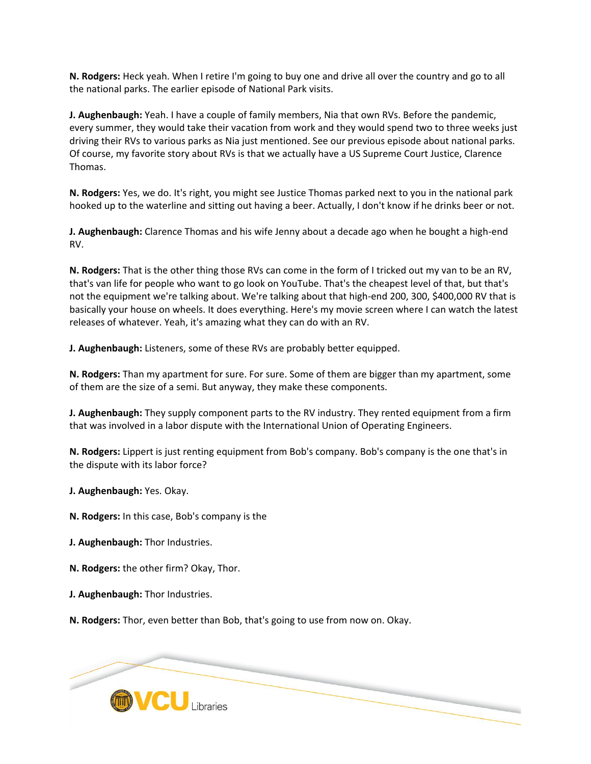**N. Rodgers:** Heck yeah. When I retire I'm going to buy one and drive all over the country and go to all the national parks. The earlier episode of National Park visits.

**J. Aughenbaugh:** Yeah. I have a couple of family members, Nia that own RVs. Before the pandemic, every summer, they would take their vacation from work and they would spend two to three weeks just driving their RVs to various parks as Nia just mentioned. See our previous episode about national parks. Of course, my favorite story about RVs is that we actually have a US Supreme Court Justice, Clarence Thomas.

**N. Rodgers:** Yes, we do. It's right, you might see Justice Thomas parked next to you in the national park hooked up to the waterline and sitting out having a beer. Actually, I don't know if he drinks beer or not.

**J. Aughenbaugh:** Clarence Thomas and his wife Jenny about a decade ago when he bought a high-end RV.

**N. Rodgers:** That is the other thing those RVs can come in the form of I tricked out my van to be an RV, that's van life for people who want to go look on YouTube. That's the cheapest level of that, but that's not the equipment we're talking about. We're talking about that high-end 200, 300, \$400,000 RV that is basically your house on wheels. It does everything. Here's my movie screen where I can watch the latest releases of whatever. Yeah, it's amazing what they can do with an RV.

**J. Aughenbaugh:** Listeners, some of these RVs are probably better equipped.

**N. Rodgers:** Than my apartment for sure. For sure. Some of them are bigger than my apartment, some of them are the size of a semi. But anyway, they make these components.

**J. Aughenbaugh:** They supply component parts to the RV industry. They rented equipment from a firm that was involved in a labor dispute with the International Union of Operating Engineers.

**N. Rodgers:** Lippert is just renting equipment from Bob's company. Bob's company is the one that's in the dispute with its labor force?

- **J. Aughenbaugh:** Yes. Okay.
- **N. Rodgers:** In this case, Bob's company is the
- **J. Aughenbaugh:** Thor Industries.
- **N. Rodgers:** the other firm? Okay, Thor.
- **J. Aughenbaugh:** Thor Industries.
- **N. Rodgers:** Thor, even better than Bob, that's going to use from now on. Okay.

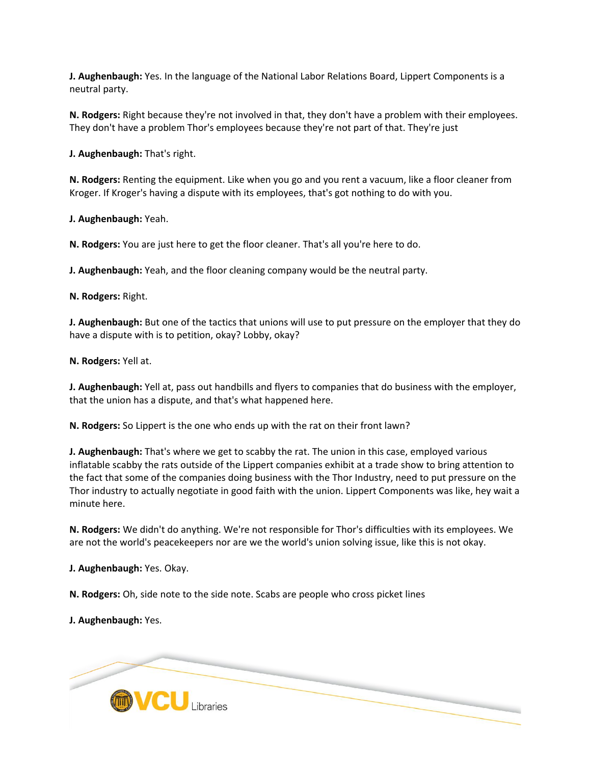**J. Aughenbaugh:** Yes. In the language of the National Labor Relations Board, Lippert Components is a neutral party.

**N. Rodgers:** Right because they're not involved in that, they don't have a problem with their employees. They don't have a problem Thor's employees because they're not part of that. They're just

**J. Aughenbaugh:** That's right.

**N. Rodgers:** Renting the equipment. Like when you go and you rent a vacuum, like a floor cleaner from Kroger. If Kroger's having a dispute with its employees, that's got nothing to do with you.

**J. Aughenbaugh:** Yeah.

**N. Rodgers:** You are just here to get the floor cleaner. That's all you're here to do.

**J. Aughenbaugh:** Yeah, and the floor cleaning company would be the neutral party.

**N. Rodgers:** Right.

**J. Aughenbaugh:** But one of the tactics that unions will use to put pressure on the employer that they do have a dispute with is to petition, okay? Lobby, okay?

**N. Rodgers:** Yell at.

**J. Aughenbaugh:** Yell at, pass out handbills and flyers to companies that do business with the employer, that the union has a dispute, and that's what happened here.

**N. Rodgers:** So Lippert is the one who ends up with the rat on their front lawn?

**J. Aughenbaugh:** That's where we get to scabby the rat. The union in this case, employed various inflatable scabby the rats outside of the Lippert companies exhibit at a trade show to bring attention to the fact that some of the companies doing business with the Thor Industry, need to put pressure on the Thor industry to actually negotiate in good faith with the union. Lippert Components was like, hey wait a minute here.

**N. Rodgers:** We didn't do anything. We're not responsible for Thor's difficulties with its employees. We are not the world's peacekeepers nor are we the world's union solving issue, like this is not okay.

**J. Aughenbaugh:** Yes. Okay.

**N. Rodgers:** Oh, side note to the side note. Scabs are people who cross picket lines

**J. Aughenbaugh:** Yes.

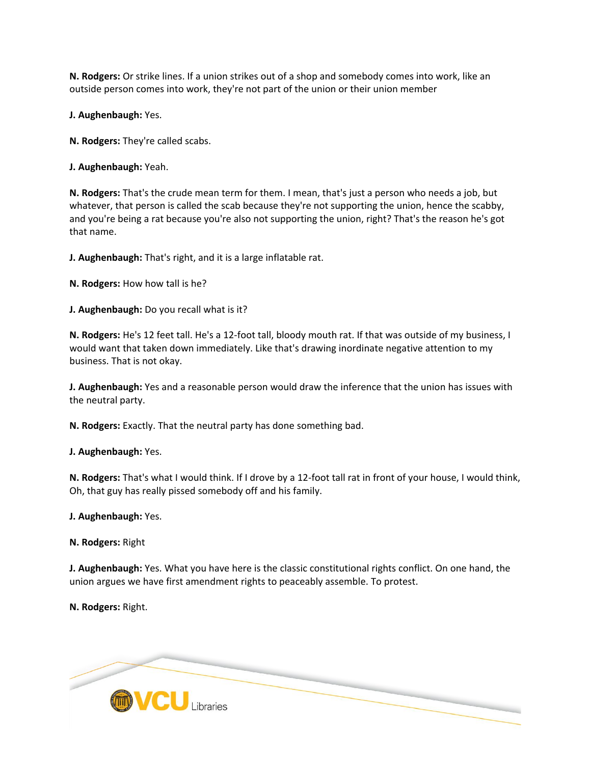**N. Rodgers:** Or strike lines. If a union strikes out of a shop and somebody comes into work, like an outside person comes into work, they're not part of the union or their union member

**J. Aughenbaugh:** Yes.

**N. Rodgers:** They're called scabs.

**J. Aughenbaugh:** Yeah.

**N. Rodgers:** That's the crude mean term for them. I mean, that's just a person who needs a job, but whatever, that person is called the scab because they're not supporting the union, hence the scabby, and you're being a rat because you're also not supporting the union, right? That's the reason he's got that name.

**J. Aughenbaugh:** That's right, and it is a large inflatable rat.

**N. Rodgers:** How how tall is he?

**J. Aughenbaugh:** Do you recall what is it?

**N. Rodgers:** He's 12 feet tall. He's a 12-foot tall, bloody mouth rat. If that was outside of my business, I would want that taken down immediately. Like that's drawing inordinate negative attention to my business. That is not okay.

**J. Aughenbaugh:** Yes and a reasonable person would draw the inference that the union has issues with the neutral party.

**N. Rodgers:** Exactly. That the neutral party has done something bad.

**J. Aughenbaugh:** Yes.

**N. Rodgers:** That's what I would think. If I drove by a 12-foot tall rat in front of your house, I would think, Oh, that guy has really pissed somebody off and his family.

**J. Aughenbaugh:** Yes.

**N. Rodgers:** Right

**J. Aughenbaugh:** Yes. What you have here is the classic constitutional rights conflict. On one hand, the union argues we have first amendment rights to peaceably assemble. To protest.

**N. Rodgers:** Right.

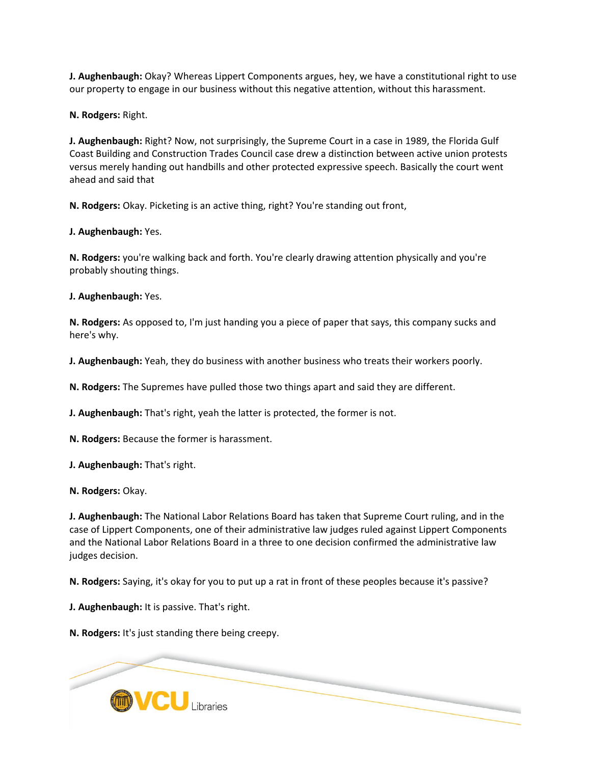**J. Aughenbaugh:** Okay? Whereas Lippert Components argues, hey, we have a constitutional right to use our property to engage in our business without this negative attention, without this harassment.

**N. Rodgers:** Right.

**J. Aughenbaugh:** Right? Now, not surprisingly, the Supreme Court in a case in 1989, the Florida Gulf Coast Building and Construction Trades Council case drew a distinction between active union protests versus merely handing out handbills and other protected expressive speech. Basically the court went ahead and said that

**N. Rodgers:** Okay. Picketing is an active thing, right? You're standing out front,

**J. Aughenbaugh:** Yes.

**N. Rodgers:** you're walking back and forth. You're clearly drawing attention physically and you're probably shouting things.

**J. Aughenbaugh:** Yes.

**N. Rodgers:** As opposed to, I'm just handing you a piece of paper that says, this company sucks and here's why.

**J. Aughenbaugh:** Yeah, they do business with another business who treats their workers poorly.

**N. Rodgers:** The Supremes have pulled those two things apart and said they are different.

**J. Aughenbaugh:** That's right, yeah the latter is protected, the former is not.

**N. Rodgers:** Because the former is harassment.

**J. Aughenbaugh:** That's right.

**N. Rodgers:** Okay.

**J. Aughenbaugh:** The National Labor Relations Board has taken that Supreme Court ruling, and in the case of Lippert Components, one of their administrative law judges ruled against Lippert Components and the National Labor Relations Board in a three to one decision confirmed the administrative law judges decision.

**N. Rodgers:** Saying, it's okay for you to put up a rat in front of these peoples because it's passive?

**J. Aughenbaugh:** It is passive. That's right.

**N. Rodgers:** It's just standing there being creepy.

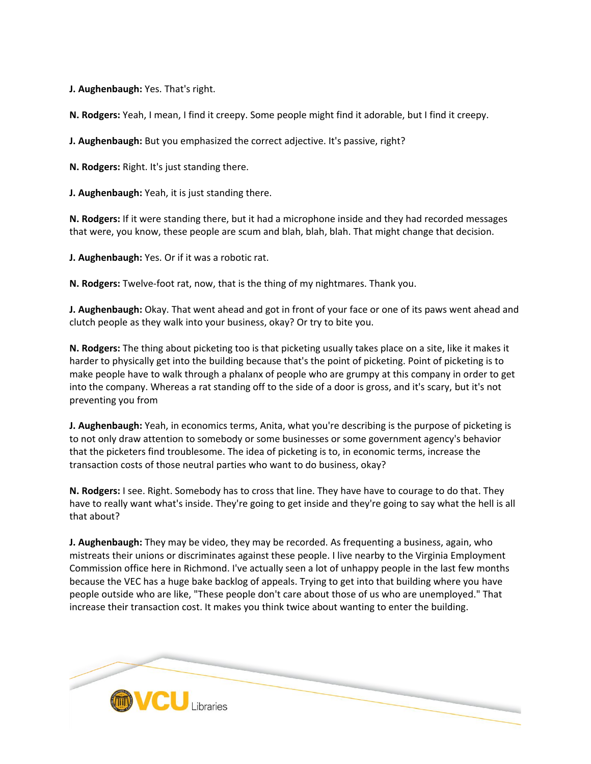**J. Aughenbaugh:** Yes. That's right.

**N. Rodgers:** Yeah, I mean, I find it creepy. Some people might find it adorable, but I find it creepy.

**J. Aughenbaugh:** But you emphasized the correct adjective. It's passive, right?

**N. Rodgers:** Right. It's just standing there.

**J. Aughenbaugh:** Yeah, it is just standing there.

**N. Rodgers:** If it were standing there, but it had a microphone inside and they had recorded messages that were, you know, these people are scum and blah, blah, blah. That might change that decision.

**J. Aughenbaugh:** Yes. Or if it was a robotic rat.

**N. Rodgers:** Twelve-foot rat, now, that is the thing of my nightmares. Thank you.

**J. Aughenbaugh:** Okay. That went ahead and got in front of your face or one of its paws went ahead and clutch people as they walk into your business, okay? Or try to bite you.

**N. Rodgers:** The thing about picketing too is that picketing usually takes place on a site, like it makes it harder to physically get into the building because that's the point of picketing. Point of picketing is to make people have to walk through a phalanx of people who are grumpy at this company in order to get into the company. Whereas a rat standing off to the side of a door is gross, and it's scary, but it's not preventing you from

**J. Aughenbaugh:** Yeah, in economics terms, Anita, what you're describing is the purpose of picketing is to not only draw attention to somebody or some businesses or some government agency's behavior that the picketers find troublesome. The idea of picketing is to, in economic terms, increase the transaction costs of those neutral parties who want to do business, okay?

**N. Rodgers:** I see. Right. Somebody has to cross that line. They have have to courage to do that. They have to really want what's inside. They're going to get inside and they're going to say what the hell is all that about?

**J. Aughenbaugh:** They may be video, they may be recorded. As frequenting a business, again, who mistreats their unions or discriminates against these people. I live nearby to the Virginia Employment Commission office here in Richmond. I've actually seen a lot of unhappy people in the last few months because the VEC has a huge bake backlog of appeals. Trying to get into that building where you have people outside who are like, "These people don't care about those of us who are unemployed." That increase their transaction cost. It makes you think twice about wanting to enter the building.

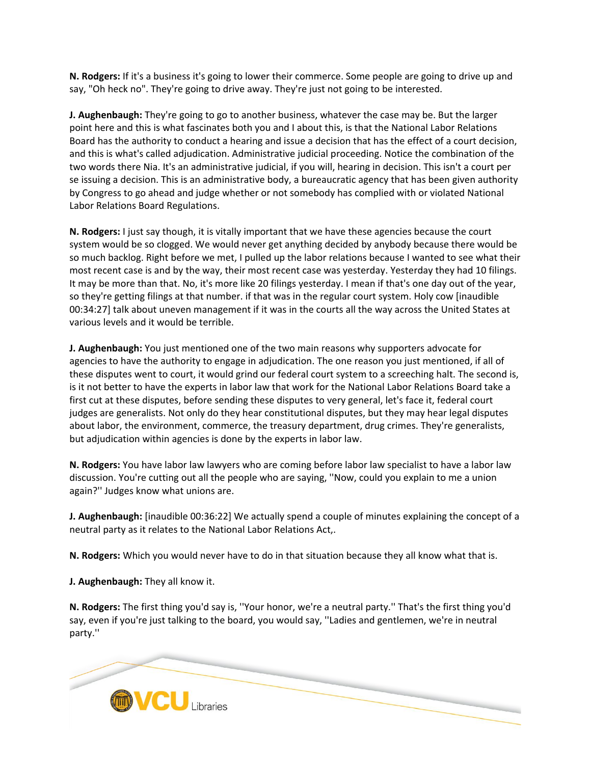**N. Rodgers:** If it's a business it's going to lower their commerce. Some people are going to drive up and say, "Oh heck no". They're going to drive away. They're just not going to be interested.

**J. Aughenbaugh:** They're going to go to another business, whatever the case may be. But the larger point here and this is what fascinates both you and I about this, is that the National Labor Relations Board has the authority to conduct a hearing and issue a decision that has the effect of a court decision, and this is what's called adjudication. Administrative judicial proceeding. Notice the combination of the two words there Nia. It's an administrative judicial, if you will, hearing in decision. This isn't a court per se issuing a decision. This is an administrative body, a bureaucratic agency that has been given authority by Congress to go ahead and judge whether or not somebody has complied with or violated National Labor Relations Board Regulations.

**N. Rodgers:** I just say though, it is vitally important that we have these agencies because the court system would be so clogged. We would never get anything decided by anybody because there would be so much backlog. Right before we met, I pulled up the labor relations because I wanted to see what their most recent case is and by the way, their most recent case was yesterday. Yesterday they had 10 filings. It may be more than that. No, it's more like 20 filings yesterday. I mean if that's one day out of the year, so they're getting filings at that number. if that was in the regular court system. Holy cow [inaudible 00:34:27] talk about uneven management if it was in the courts all the way across the United States at various levels and it would be terrible.

**J. Aughenbaugh:** You just mentioned one of the two main reasons why supporters advocate for agencies to have the authority to engage in adjudication. The one reason you just mentioned, if all of these disputes went to court, it would grind our federal court system to a screeching halt. The second is, is it not better to have the experts in labor law that work for the National Labor Relations Board take a first cut at these disputes, before sending these disputes to very general, let's face it, federal court judges are generalists. Not only do they hear constitutional disputes, but they may hear legal disputes about labor, the environment, commerce, the treasury department, drug crimes. They're generalists, but adjudication within agencies is done by the experts in labor law.

**N. Rodgers:** You have labor law lawyers who are coming before labor law specialist to have a labor law discussion. You're cutting out all the people who are saying, ''Now, could you explain to me a union again?'' Judges know what unions are.

**J. Aughenbaugh:** [inaudible 00:36:22] We actually spend a couple of minutes explaining the concept of a neutral party as it relates to the National Labor Relations Act,.

**N. Rodgers:** Which you would never have to do in that situation because they all know what that is.

**J. Aughenbaugh:** They all know it.

**N. Rodgers:** The first thing you'd say is, ''Your honor, we're a neutral party.'' That's the first thing you'd say, even if you're just talking to the board, you would say, ''Ladies and gentlemen, we're in neutral party.''

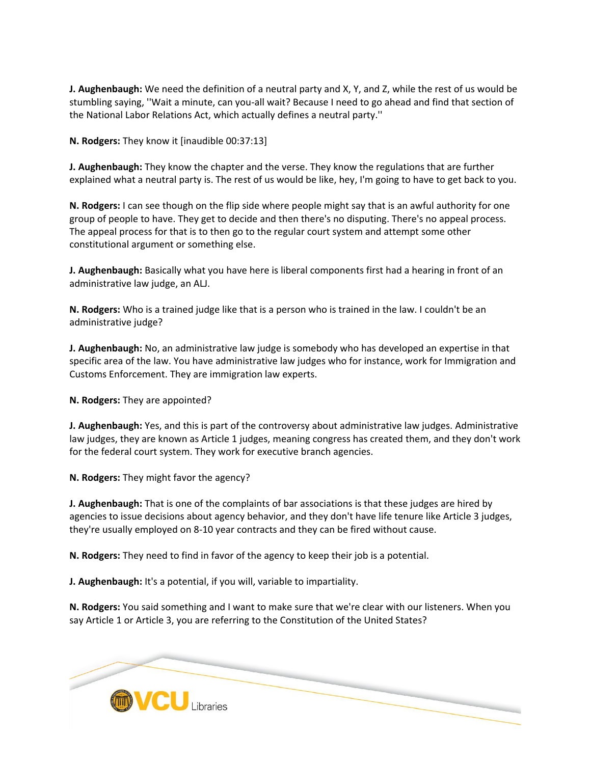**J. Aughenbaugh:** We need the definition of a neutral party and X, Y, and Z, while the rest of us would be stumbling saying, ''Wait a minute, can you-all wait? Because I need to go ahead and find that section of the National Labor Relations Act, which actually defines a neutral party.''

**N. Rodgers:** They know it [inaudible 00:37:13]

**J. Aughenbaugh:** They know the chapter and the verse. They know the regulations that are further explained what a neutral party is. The rest of us would be like, hey, I'm going to have to get back to you.

**N. Rodgers:** I can see though on the flip side where people might say that is an awful authority for one group of people to have. They get to decide and then there's no disputing. There's no appeal process. The appeal process for that is to then go to the regular court system and attempt some other constitutional argument or something else.

**J. Aughenbaugh:** Basically what you have here is liberal components first had a hearing in front of an administrative law judge, an ALJ.

**N. Rodgers:** Who is a trained judge like that is a person who is trained in the law. I couldn't be an administrative judge?

**J. Aughenbaugh:** No, an administrative law judge is somebody who has developed an expertise in that specific area of the law. You have administrative law judges who for instance, work for Immigration and Customs Enforcement. They are immigration law experts.

**N. Rodgers:** They are appointed?

**J. Aughenbaugh:** Yes, and this is part of the controversy about administrative law judges. Administrative law judges, they are known as Article 1 judges, meaning congress has created them, and they don't work for the federal court system. They work for executive branch agencies.

**N. Rodgers:** They might favor the agency?

**J. Aughenbaugh:** That is one of the complaints of bar associations is that these judges are hired by agencies to issue decisions about agency behavior, and they don't have life tenure like Article 3 judges, they're usually employed on 8-10 year contracts and they can be fired without cause.

**N. Rodgers:** They need to find in favor of the agency to keep their job is a potential.

**J. Aughenbaugh:** It's a potential, if you will, variable to impartiality.

**N. Rodgers:** You said something and I want to make sure that we're clear with our listeners. When you say Article 1 or Article 3, you are referring to the Constitution of the United States?

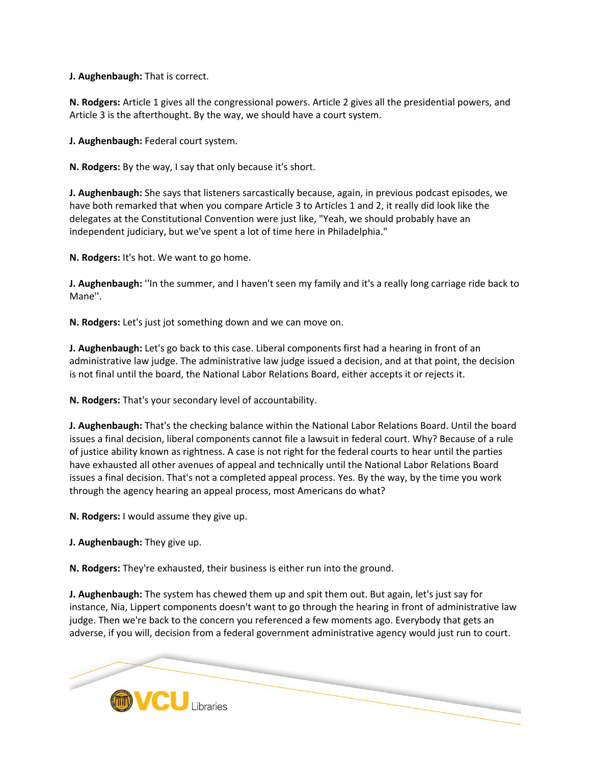**J. Aughenbaugh:** That is correct.

**N. Rodgers:** Article 1 gives all the congressional powers. Article 2 gives all the presidential powers, and Article 3 is the afterthought. By the way, we should have a court system.

**J. Aughenbaugh:** Federal court system.

**N. Rodgers:** By the way, I say that only because it's short.

**J. Aughenbaugh:** She says that listeners sarcastically because, again, in previous podcast episodes, we have both remarked that when you compare Article 3 to Articles 1 and 2, it really did look like the delegates at the Constitutional Convention were just like, "Yeah, we should probably have an independent judiciary, but we've spent a lot of time here in Philadelphia."

**N. Rodgers:** It's hot. We want to go home.

**J. Aughenbaugh:** ''In the summer, and I haven't seen my family and it's a really long carriage ride back to Mane''.

**N. Rodgers:** Let's just jot something down and we can move on.

**J. Aughenbaugh:** Let's go back to this case. Liberal components first had a hearing in front of an administrative law judge. The administrative law judge issued a decision, and at that point, the decision is not final until the board, the National Labor Relations Board, either accepts it or rejects it.

**N. Rodgers:** That's your secondary level of accountability.

**J. Aughenbaugh:** That's the checking balance within the National Labor Relations Board. Until the board issues a final decision, liberal components cannot file a lawsuit in federal court. Why? Because of a rule of justice ability known as rightness. A case is not right for the federal courts to hear until the parties have exhausted all other avenues of appeal and technically until the National Labor Relations Board issues a final decision. That's not a completed appeal process. Yes. By the way, by the time you work through the agency hearing an appeal process, most Americans do what?

**N. Rodgers:** I would assume they give up.

**J. Aughenbaugh:** They give up.

**N. Rodgers:** They're exhausted, their business is either run into the ground.

**J. Aughenbaugh:** The system has chewed them up and spit them out. But again, let's just say for instance, Nia, Lippert components doesn't want to go through the hearing in front of administrative law judge. Then we're back to the concern you referenced a few moments ago. Everybody that gets an adverse, if you will, decision from a federal government administrative agency would just run to court.

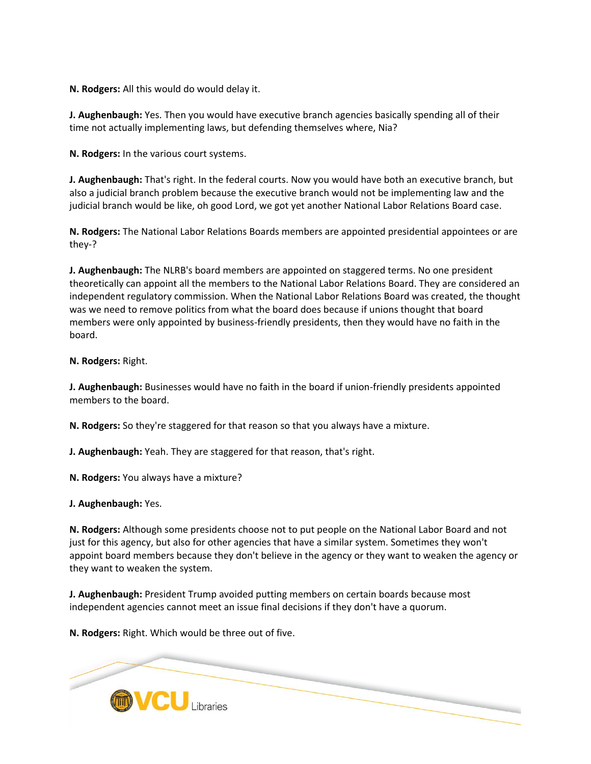**N. Rodgers:** All this would do would delay it.

**J. Aughenbaugh:** Yes. Then you would have executive branch agencies basically spending all of their time not actually implementing laws, but defending themselves where, Nia?

**N. Rodgers:** In the various court systems.

**J. Aughenbaugh:** That's right. In the federal courts. Now you would have both an executive branch, but also a judicial branch problem because the executive branch would not be implementing law and the judicial branch would be like, oh good Lord, we got yet another National Labor Relations Board case.

**N. Rodgers:** The National Labor Relations Boards members are appointed presidential appointees or are they-?

**J. Aughenbaugh:** The NLRB's board members are appointed on staggered terms. No one president theoretically can appoint all the members to the National Labor Relations Board. They are considered an independent regulatory commission. When the National Labor Relations Board was created, the thought was we need to remove politics from what the board does because if unions thought that board members were only appointed by business-friendly presidents, then they would have no faith in the board.

**N. Rodgers:** Right.

**J. Aughenbaugh:** Businesses would have no faith in the board if union-friendly presidents appointed members to the board.

**N. Rodgers:** So they're staggered for that reason so that you always have a mixture.

**J. Aughenbaugh:** Yeah. They are staggered for that reason, that's right.

**N. Rodgers:** You always have a mixture?

**J. Aughenbaugh:** Yes.

**N. Rodgers:** Although some presidents choose not to put people on the National Labor Board and not just for this agency, but also for other agencies that have a similar system. Sometimes they won't appoint board members because they don't believe in the agency or they want to weaken the agency or they want to weaken the system.

**J. Aughenbaugh:** President Trump avoided putting members on certain boards because most independent agencies cannot meet an issue final decisions if they don't have a quorum.

**N. Rodgers:** Right. Which would be three out of five.

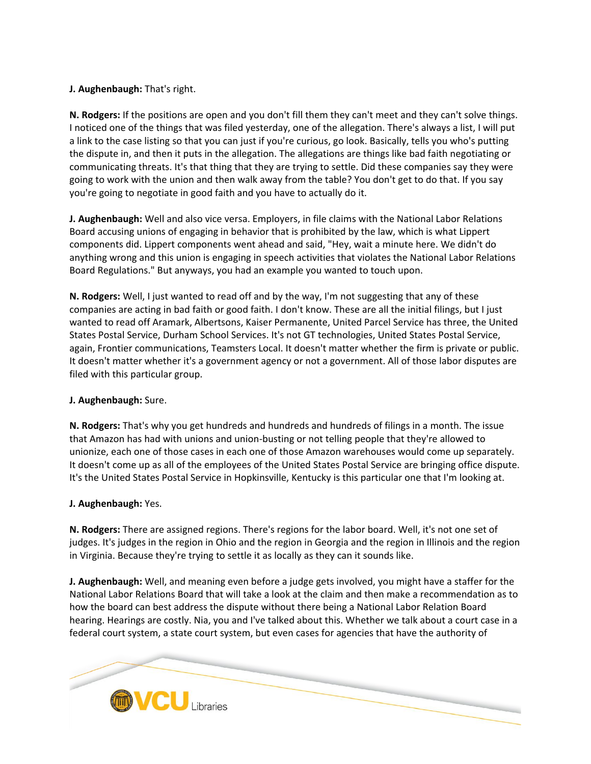# **J. Aughenbaugh:** That's right.

**N. Rodgers:** If the positions are open and you don't fill them they can't meet and they can't solve things. I noticed one of the things that was filed yesterday, one of the allegation. There's always a list, I will put a link to the case listing so that you can just if you're curious, go look. Basically, tells you who's putting the dispute in, and then it puts in the allegation. The allegations are things like bad faith negotiating or communicating threats. It's that thing that they are trying to settle. Did these companies say they were going to work with the union and then walk away from the table? You don't get to do that. If you say you're going to negotiate in good faith and you have to actually do it.

**J. Aughenbaugh:** Well and also vice versa. Employers, in file claims with the National Labor Relations Board accusing unions of engaging in behavior that is prohibited by the law, which is what Lippert components did. Lippert components went ahead and said, "Hey, wait a minute here. We didn't do anything wrong and this union is engaging in speech activities that violates the National Labor Relations Board Regulations." But anyways, you had an example you wanted to touch upon.

**N. Rodgers:** Well, I just wanted to read off and by the way, I'm not suggesting that any of these companies are acting in bad faith or good faith. I don't know. These are all the initial filings, but I just wanted to read off Aramark, Albertsons, Kaiser Permanente, United Parcel Service has three, the United States Postal Service, Durham School Services. It's not GT technologies, United States Postal Service, again, Frontier communications, Teamsters Local. It doesn't matter whether the firm is private or public. It doesn't matter whether it's a government agency or not a government. All of those labor disputes are filed with this particular group.

## **J. Aughenbaugh:** Sure.

**N. Rodgers:** That's why you get hundreds and hundreds and hundreds of filings in a month. The issue that Amazon has had with unions and union-busting or not telling people that they're allowed to unionize, each one of those cases in each one of those Amazon warehouses would come up separately. It doesn't come up as all of the employees of the United States Postal Service are bringing office dispute. It's the United States Postal Service in Hopkinsville, Kentucky is this particular one that I'm looking at.

## **J. Aughenbaugh:** Yes.

**N. Rodgers:** There are assigned regions. There's regions for the labor board. Well, it's not one set of judges. It's judges in the region in Ohio and the region in Georgia and the region in Illinois and the region in Virginia. Because they're trying to settle it as locally as they can it sounds like.

**J. Aughenbaugh:** Well, and meaning even before a judge gets involved, you might have a staffer for the National Labor Relations Board that will take a look at the claim and then make a recommendation as to how the board can best address the dispute without there being a National Labor Relation Board hearing. Hearings are costly. Nia, you and I've talked about this. Whether we talk about a court case in a federal court system, a state court system, but even cases for agencies that have the authority of

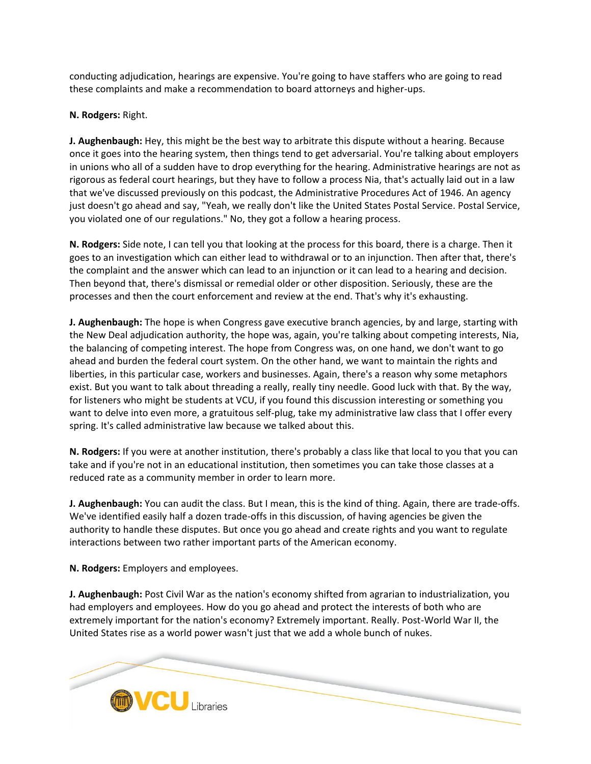conducting adjudication, hearings are expensive. You're going to have staffers who are going to read these complaints and make a recommendation to board attorneys and higher-ups.

**N. Rodgers:** Right.

**J. Aughenbaugh:** Hey, this might be the best way to arbitrate this dispute without a hearing. Because once it goes into the hearing system, then things tend to get adversarial. You're talking about employers in unions who all of a sudden have to drop everything for the hearing. Administrative hearings are not as rigorous as federal court hearings, but they have to follow a process Nia, that's actually laid out in a law that we've discussed previously on this podcast, the Administrative Procedures Act of 1946. An agency just doesn't go ahead and say, "Yeah, we really don't like the United States Postal Service. Postal Service, you violated one of our regulations." No, they got a follow a hearing process.

**N. Rodgers:** Side note, I can tell you that looking at the process for this board, there is a charge. Then it goes to an investigation which can either lead to withdrawal or to an injunction. Then after that, there's the complaint and the answer which can lead to an injunction or it can lead to a hearing and decision. Then beyond that, there's dismissal or remedial older or other disposition. Seriously, these are the processes and then the court enforcement and review at the end. That's why it's exhausting.

**J. Aughenbaugh:** The hope is when Congress gave executive branch agencies, by and large, starting with the New Deal adjudication authority, the hope was, again, you're talking about competing interests, Nia, the balancing of competing interest. The hope from Congress was, on one hand, we don't want to go ahead and burden the federal court system. On the other hand, we want to maintain the rights and liberties, in this particular case, workers and businesses. Again, there's a reason why some metaphors exist. But you want to talk about threading a really, really tiny needle. Good luck with that. By the way, for listeners who might be students at VCU, if you found this discussion interesting or something you want to delve into even more, a gratuitous self-plug, take my administrative law class that I offer every spring. It's called administrative law because we talked about this.

**N. Rodgers:** If you were at another institution, there's probably a class like that local to you that you can take and if you're not in an educational institution, then sometimes you can take those classes at a reduced rate as a community member in order to learn more.

**J. Aughenbaugh:** You can audit the class. But I mean, this is the kind of thing. Again, there are trade-offs. We've identified easily half a dozen trade-offs in this discussion, of having agencies be given the authority to handle these disputes. But once you go ahead and create rights and you want to regulate interactions between two rather important parts of the American economy.

**N. Rodgers:** Employers and employees.

**J. Aughenbaugh:** Post Civil War as the nation's economy shifted from agrarian to industrialization, you had employers and employees. How do you go ahead and protect the interests of both who are extremely important for the nation's economy? Extremely important. Really. Post-World War II, the United States rise as a world power wasn't just that we add a whole bunch of nukes.

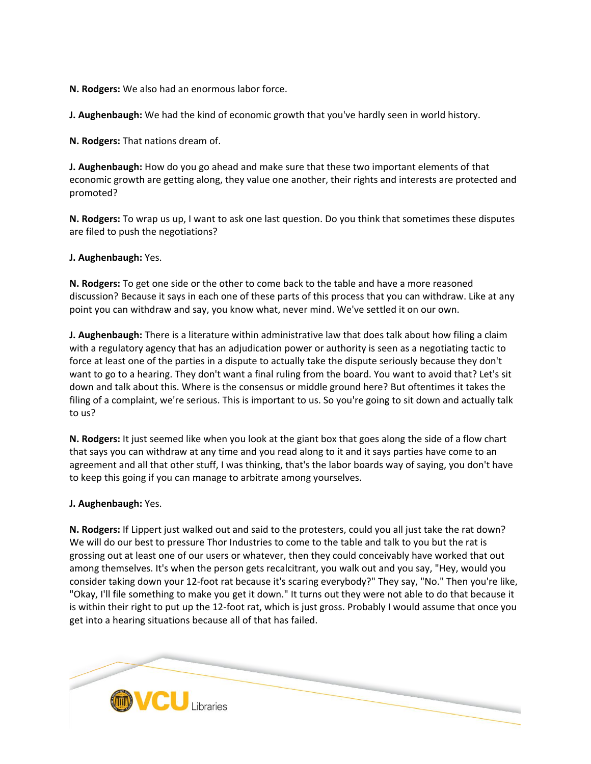**N. Rodgers:** We also had an enormous labor force.

**J. Aughenbaugh:** We had the kind of economic growth that you've hardly seen in world history.

**N. Rodgers:** That nations dream of.

**J. Aughenbaugh:** How do you go ahead and make sure that these two important elements of that economic growth are getting along, they value one another, their rights and interests are protected and promoted?

**N. Rodgers:** To wrap us up, I want to ask one last question. Do you think that sometimes these disputes are filed to push the negotiations?

**J. Aughenbaugh:** Yes.

**N. Rodgers:** To get one side or the other to come back to the table and have a more reasoned discussion? Because it says in each one of these parts of this process that you can withdraw. Like at any point you can withdraw and say, you know what, never mind. We've settled it on our own.

**J. Aughenbaugh:** There is a literature within administrative law that does talk about how filing a claim with a regulatory agency that has an adjudication power or authority is seen as a negotiating tactic to force at least one of the parties in a dispute to actually take the dispute seriously because they don't want to go to a hearing. They don't want a final ruling from the board. You want to avoid that? Let's sit down and talk about this. Where is the consensus or middle ground here? But oftentimes it takes the filing of a complaint, we're serious. This is important to us. So you're going to sit down and actually talk to us?

**N. Rodgers:** It just seemed like when you look at the giant box that goes along the side of a flow chart that says you can withdraw at any time and you read along to it and it says parties have come to an agreement and all that other stuff, I was thinking, that's the labor boards way of saying, you don't have to keep this going if you can manage to arbitrate among yourselves.

#### **J. Aughenbaugh:** Yes.

**N. Rodgers:** If Lippert just walked out and said to the protesters, could you all just take the rat down? We will do our best to pressure Thor Industries to come to the table and talk to you but the rat is grossing out at least one of our users or whatever, then they could conceivably have worked that out among themselves. It's when the person gets recalcitrant, you walk out and you say, "Hey, would you consider taking down your 12-foot rat because it's scaring everybody?" They say, "No." Then you're like, "Okay, I'll file something to make you get it down." It turns out they were not able to do that because it is within their right to put up the 12-foot rat, which is just gross. Probably I would assume that once you get into a hearing situations because all of that has failed.